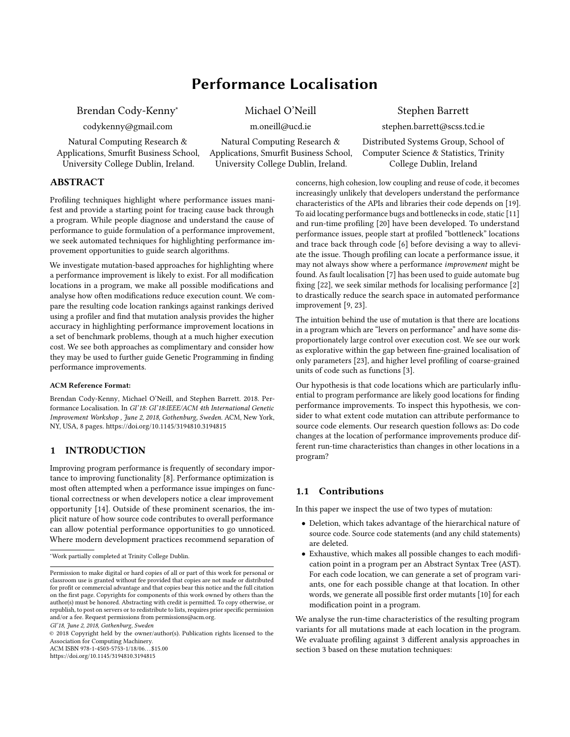# Performance Localisation

<span id="page-0-0"></span>Brendan Cody-Kenny<sup>∗</sup>

codykenny@gmail.com

Natural Computing Research & Applications, Smurfit Business School, University College Dublin, Ireland.

Michael O'Neill

m.oneill@ucd.ie

Natural Computing Research & Applications, Smurfit Business School, University College Dublin, Ireland.

Stephen Barrett

stephen.barrett@scss.tcd.ie

Distributed Systems Group, School of Computer Science & Statistics, Trinity College Dublin, Ireland

# ABSTRACT

Profiling techniques highlight where performance issues manifest and provide a starting point for tracing cause back through a program. While people diagnose and understand the cause of performance to guide formulation of a performance improvement, we seek automated techniques for highlighting performance improvement opportunities to guide search algorithms.

We investigate mutation-based approaches for highlighting where a performance improvement is likely to exist. For all modification locations in a program, we make all possible modifications and analyse how often modifications reduce execution count. We compare the resulting code location rankings against rankings derived using a profiler and find that mutation analysis provides the higher accuracy in highlighting performance improvement locations in a set of benchmark problems, though at a much higher execution cost. We see both approaches as complimentary and consider how they may be used to further guide Genetic Programming in finding performance improvements.

#### ACM Reference Format:

Brendan Cody-Kenny, Michael O'Neill, and Stephen Barrett. 2018. Performance Localisation. In GI'18: GI'18:IEEE/ACM 4th International Genetic Improvement Workshop , June 2, 2018, Gothenburg, Sweden. ACM, New York, NY, USA, [8](#page-7-0) pages.<https://doi.org/10.1145/3194810.3194815>

## 1 INTRODUCTION

Improving program performance is frequently of secondary importance to improving functionality [\[8\]](#page-7-1). Performance optimization is most often attempted when a performance issue impinges on functional correctness or when developers notice a clear improvement opportunity [\[14\]](#page-7-2). Outside of these prominent scenarios, the implicit nature of how source code contributes to overall performance can allow potential performance opportunities to go unnoticed. Where modern development practices recommend separation of

© 2018 Copyright held by the owner/author(s). Publication rights licensed to the Association for Computing Machinery. ACM ISBN 978-1-4503-5753-1/18/06. . . \$15.00

<https://doi.org/10.1145/3194810.3194815>

concerns, high cohesion, low coupling and reuse of code, it becomes increasingly unlikely that developers understand the performance characteristics of the APIs and libraries their code depends on [\[19\]](#page-7-3). To aid locating performance bugs and bottlenecks in code, static [\[11\]](#page-7-4) and run-time profiling [\[20\]](#page-7-5) have been developed. To understand performance issues, people start at profiled "bottleneck" locations and trace back through code [\[6\]](#page-7-6) before devising a way to alleviate the issue. Though profiling can locate a performance issue, it may not always show where a performance improvement might be found. As fault localisation [\[7\]](#page-7-7) has been used to guide automate bug fixing [\[22\]](#page-7-8), we seek similar methods for localising performance [\[2\]](#page-7-9) to drastically reduce the search space in automated performance improvement [\[9,](#page-7-10) [23\]](#page-7-11).

The intuition behind the use of mutation is that there are locations in a program which are "levers on performance" and have some disproportionately large control over execution cost. We see our work as explorative within the gap between fine-grained localisation of only parameters [\[23\]](#page-7-11), and higher level profiling of coarse-grained units of code such as functions [\[3\]](#page-7-12).

Our hypothesis is that code locations which are particularly influential to program performance are likely good locations for finding performance improvements. To inspect this hypothesis, we consider to what extent code mutation can attribute performance to source code elements. Our research question follows as: Do code changes at the location of performance improvements produce different run-time characteristics than changes in other locations in a program?

# 1.1 Contributions

In this paper we inspect the use of two types of mutation:

- Deletion, which takes advantage of the hierarchical nature of source code. Source code statements (and any child statements) are deleted.
- Exhaustive, which makes all possible changes to each modification point in a program per an Abstract Syntax Tree (AST). For each code location, we can generate a set of program variants, one for each possible change at that location. In other words, we generate all possible first order mutants [\[10\]](#page-7-13) for each modification point in a program.

We analyse the run-time characteristics of the resulting program variants for all mutations made at each location in the program. We evaluate profiling against 3 different analysis approaches in [section 3](#page-1-0) based on these mutation techniques:

<sup>∗</sup>Work partially completed at Trinity College Dublin.

Permission to make digital or hard copies of all or part of this work for personal or classroom use is granted without fee provided that copies are not made or distributed for profit or commercial advantage and that copies bear this notice and the full citation on the first page. Copyrights for components of this work owned by others than the author(s) must be honored. Abstracting with credit is permitted. To copy otherwise, or republish, to post on servers or to redistribute to lists, requires prior specific permission and/or a fee. Request permissions from permissions@acm.org. GI'18, June 2, 2018, Gothenburg, Sweden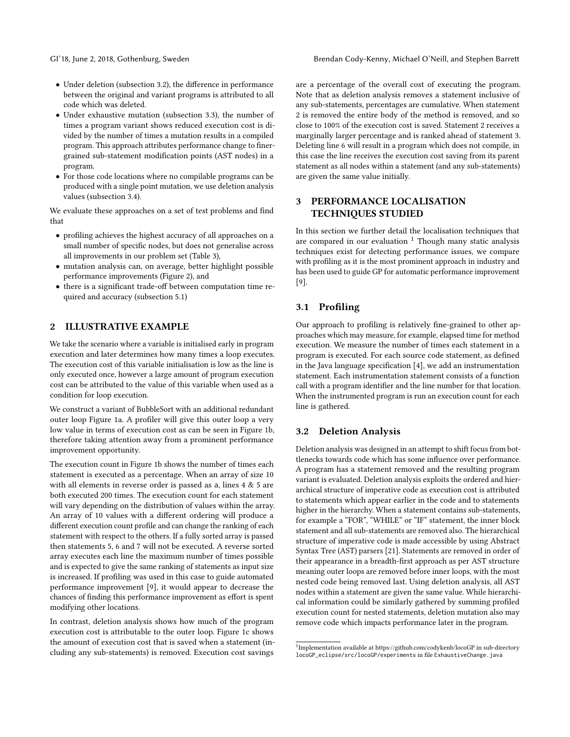- Under deletion [\(subsection 3.2\)](#page-1-1), the difference in performance between the original and variant programs is attributed to all code which was deleted.
- Under exhaustive mutation [\(subsection 3.3\)](#page-2-0), the number of times a program variant shows reduced execution cost is divided by the number of times a mutation results in a compiled program. This approach attributes performance change to finergrained sub-statement modification points (AST nodes) in a program.
- For those code locations where no compilable programs can be produced with a single point mutation, we use deletion analysis values [\(subsection 3.4\)](#page-2-1).

We evaluate these approaches on a set of test problems and find that

- profiling achieves the highest accuracy of all approaches on a small number of specific nodes, but does not generalise across all improvements in our problem set [\(Table 3\)](#page-4-0),
- mutation analysis can, on average, better highlight possible performance improvements [\(Figure 2\)](#page-4-1), and
- there is a significant trade-off between computation time required and accuracy [\(subsection 5.1\)](#page-5-0)

## 2 ILLUSTRATIVE EXAMPLE

We take the scenario where a variable is initialised early in program execution and later determines how many times a loop executes. The execution cost of this variable initialisation is low as the line is only executed once, however a large amount of program execution cost can be attributed to the value of this variable when used as a condition for loop execution.

We construct a variant of BubbleSort with an additional redundant outer loop [Figure 1a.](#page-2-2) A profiler will give this outer loop a very low value in terms of execution cost as can be seen in [Figure 1b,](#page-2-3) therefore taking attention away from a prominent performance improvement opportunity.

The execution count in [Figure 1b](#page-2-3) shows the number of times each statement is executed as a percentage. When an array of size 10 with all elements in reverse order is passed as a, lines 4 & 5 are both executed 200 times. The execution count for each statement will vary depending on the distribution of values within the array. An array of 10 values with a different ordering will produce a different execution count profile and can change the ranking of each statement with respect to the others. If a fully sorted array is passed then statements 5, 6 and 7 will not be executed. A reverse sorted array executes each line the maximum number of times possible and is expected to give the same ranking of statements as input size is increased. If profiling was used in this case to guide automated performance improvement [\[9\]](#page-7-10), it would appear to decrease the chances of finding this performance improvement as effort is spent modifying other locations.

In contrast, deletion analysis shows how much of the program execution cost is attributable to the outer loop. [Figure 1c](#page-2-4) shows the amount of execution cost that is saved when a statement (including any sub-statements) is removed. Execution cost savings

are a percentage of the overall cost of executing the program. Note that as deletion analysis removes a statement inclusive of any sub-statements, percentages are cumulative. When statement 2 is removed the entire body of the method is removed, and so close to 100% of the execution cost is saved. Statement 2 receives a marginally larger percentage and is ranked ahead of statement 3. Deleting line 6 will result in a program which does not compile, in this case the line receives the execution cost saving from its parent statement as all nodes within a statement (and any sub-statements) are given the same value initially.

# <span id="page-1-0"></span>3 PERFORMANCE LOCALISATION TECHNIQUES STUDIED

In this section we further detail the localisation techniques that are compared in our evaluation  $1$  Though many static analysis techniques exist for detecting performance issues, we compare with profiling as it is the most prominent approach in industry and has been used to guide GP for automatic performance improvement [\[9\]](#page-7-10).

# 3.1 Profiling

Our approach to profiling is relatively fine-grained to other approaches which may measure, for example, elapsed time for method execution. We measure the number of times each statement in a program is executed. For each source code statement, as defined in the Java language specification [\[4\]](#page-7-14), we add an instrumentation statement. Each instrumentation statement consists of a function call with a program identifier and the line number for that location. When the instrumented program is run an execution count for each line is gathered.

## <span id="page-1-1"></span>3.2 Deletion Analysis

Deletion analysis was designed in an attempt to shift focus from bottlenecks towards code which has some influence over performance. A program has a statement removed and the resulting program variant is evaluated. Deletion analysis exploits the ordered and hierarchical structure of imperative code as execution cost is attributed to statements which appear earlier in the code and to statements higher in the hierarchy. When a statement contains sub-statements, for example a "FOR", "WHILE" or "IF" statement, the inner block statement and all sub-statements are removed also. The hierarchical structure of imperative code is made accessible by using Abstract Syntax Tree (AST) parsers [\[21\]](#page-7-15). Statements are removed in order of their appearance in a breadth-first approach as per AST structure meaning outer loops are removed before inner loops, with the most nested code being removed last. Using deletion analysis, all AST nodes within a statement are given the same value. While hierarchical information could be similarly gathered by summing profiled execution count for nested statements, deletion mutation also may remove code which impacts performance later in the program.

<sup>&</sup>lt;sup>1</sup>Implementation available at<https://github.com/codykenb/locoGP> in sub-directory locoGP\_eclipse/src/locoGP/experiments in file ExhaustiveChange.java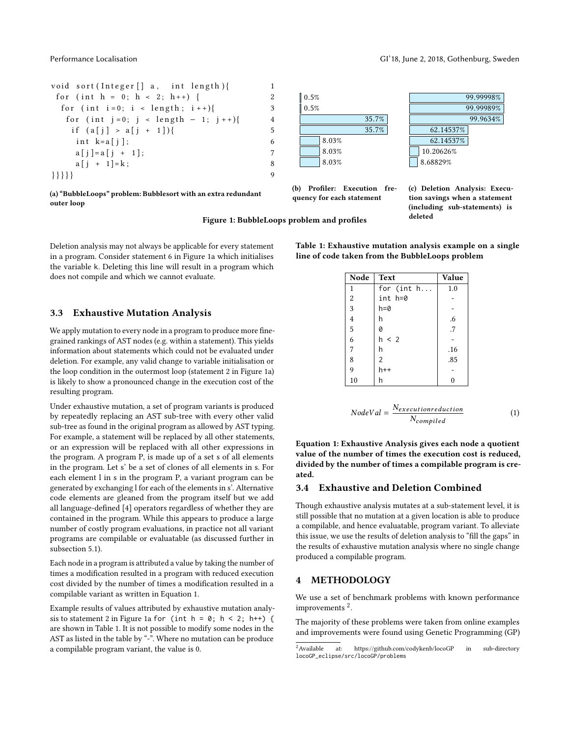

<span id="page-2-2"></span>(a) "BubbleLoops" problem: Bubblesort with an extra redundant outer loop



<span id="page-2-3"></span>(b) Profiler: Execution frequency for each statement

<span id="page-2-4"></span>(c) Deletion Analysis: Execution savings when a statement (including sub-statements) is

<sup>99</sup>.9634%

<span id="page-2-6"></span>Table 1: Exhaustive mutation analysis example on a single line of code taken from the BubbleLoops problem

| Node           | <b>Text</b>  | Value         |  |  |
|----------------|--------------|---------------|--|--|
| $\mathbf{1}$   | for (int $h$ | 1.0           |  |  |
| $\overline{2}$ | int h=0      |               |  |  |
| $\overline{3}$ | h=0          |               |  |  |
| $\overline{4}$ | h            | .6            |  |  |
| $\overline{5}$ | 0            | $\frac{1}{7}$ |  |  |
| $\ddot{6}$     | h < 2        |               |  |  |
| $\overline{7}$ | h            | .16           |  |  |
| 8              | 2            | .85           |  |  |
| 9              | $h++$        |               |  |  |
| 10             |              |               |  |  |

<span id="page-2-5"></span>
$$
NodeVal = \frac{N_{executionreduction}}{N_{compiled}} \tag{1}
$$

Equation 1: Exhaustive Analysis gives each node a quotient value of the number of times the execution cost is reduced, divided by the number of times a compilable program is created.

#### <span id="page-2-1"></span>3.4 Exhaustive and Deletion Combined

Though exhaustive analysis mutates at a sub-statement level, it is still possible that no mutation at a given location is able to produce a compilable, and hence evaluatable, program variant. To alleviate this issue, we use the results of deletion analysis to "fill the gaps" in the results of exhaustive mutation analysis where no single change produced a compilable program.

## 4 METHODOLOGY

We use a set of benchmark problems with known performance improvements<sup>[2](#page-0-0)</sup>.

The majority of these problems were taken from online examples and improvements were found using Genetic Programming (GP)

Figure 1: BubbleLoops problem and profiles deleted

Deletion analysis may not always be applicable for every statement in a program. Consider statement 6 in [Figure 1a](#page-2-2) which initialises the variable k. Deleting this line will result in a program which does not compile and which we cannot evaluate.

#### <span id="page-2-0"></span>3.3 Exhaustive Mutation Analysis

We apply mutation to every node in a program to produce more finegrained rankings of AST nodes (e.g. within a statement). This yields information about statements which could not be evaluated under deletion. For example, any valid change to variable initialisation or the loop condition in the outermost loop (statement 2 in [Figure 1a\)](#page-2-2) is likely to show a pronounced change in the execution cost of the resulting program.

Under exhaustive mutation, a set of program variants is produced by repeatedly replacing an AST sub-tree with every other valid sub-tree as found in the original program as allowed by AST typing. For example, a statement will be replaced by all other statements, or an expression will be replaced with all other expressions in the program. A program P, is made up of a set s of all elements in the program. Let s' be a set of clones of all elements in s. For each element l in s in the program P, a variant program can be generated by exchanging l for each of the elements in s'. Alternative code elements are gleaned from the program itself but we add all language-defined [\[4\]](#page-7-14) operators regardless of whether they are contained in the program. While this appears to produce a large number of costly program evaluations, in practice not all variant programs are compilable or evaluatable (as discussed further in [subsection 5.1\)](#page-5-0).

Each node in a program is attributed a value by taking the number of times a modification resulted in a program with reduced execution cost divided by the number of times a modification resulted in a compilable variant as written in [Equation 1.](#page-2-5)

Example results of values attributed by exhaustive mutation analy-sis to statement 2 in [Figure 1a](#page-2-2) for (int  $h = 0$ ;  $h < 2$ ;  $h$ ++) { are shown in [Table 1.](#page-2-6) It is not possible to modify some nodes in the AST as listed in the table by "-". Where no mutation can be produce a compilable program variant, the value is 0.

<sup>&</sup>lt;sup>2</sup> Available at:<https://github.com/codykenb/locoGP> in sub-directory locoGP\_eclipse/src/locoGP/problems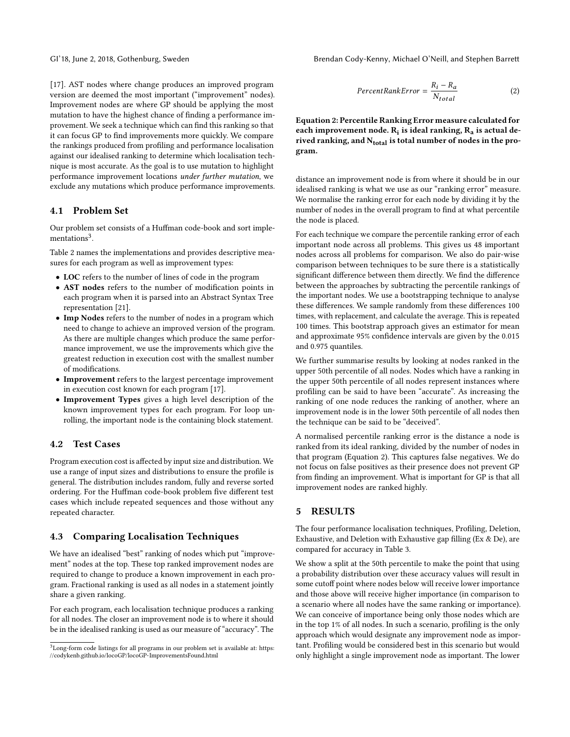GI'18, June 2, 2018, Gothenburg, Sweden Brendan Cody-Kenny, Michael O'Neill, and Stephen Barrett

[\[17\]](#page-7-16). AST nodes where change produces an improved program version are deemed the most important ("improvement" nodes). Improvement nodes are where GP should be applying the most mutation to have the highest chance of finding a performance improvement. We seek a technique which can find this ranking so that it can focus GP to find improvements more quickly. We compare the rankings produced from profiling and performance localisation against our idealised ranking to determine which localisation technique is most accurate. As the goal is to use mutation to highlight performance improvement locations under further mutation, we exclude any mutations which produce performance improvements.

# 4.1 Problem Set

Our problem set consists of a Huffman code-book and sort imple-mentations<sup>[3](#page-0-0)</sup>.

[Table 2](#page-4-2) names the implementations and provides descriptive measures for each program as well as improvement types:

- LOC refers to the number of lines of code in the program
- AST nodes refers to the number of modification points in each program when it is parsed into an Abstract Syntax Tree representation [\[21\]](#page-7-15).
- Imp Nodes refers to the number of nodes in a program which need to change to achieve an improved version of the program. As there are multiple changes which produce the same performance improvement, we use the improvements which give the greatest reduction in execution cost with the smallest number of modifications.
- Improvement refers to the largest percentage improvement in execution cost known for each program [\[17\]](#page-7-16).
- Improvement Types gives a high level description of the known improvement types for each program. For loop unrolling, the important node is the containing block statement.

#### 4.2 Test Cases

Program execution cost is affected by input size and distribution. We use a range of input sizes and distributions to ensure the profile is general. The distribution includes random, fully and reverse sorted ordering. For the Huffman code-book problem five different test cases which include repeated sequences and those without any repeated character.

# <span id="page-3-1"></span>4.3 Comparing Localisation Techniques

We have an idealised "best" ranking of nodes which put "improvement" nodes at the top. These top ranked improvement nodes are required to change to produce a known improvement in each program. Fractional ranking is used as all nodes in a statement jointly share a given ranking.

For each program, each localisation technique produces a ranking for all nodes. The closer an improvement node is to where it should be in the idealised ranking is used as our measure of "accuracy". The

<span id="page-3-0"></span>
$$
PercentRankError = \frac{R_i - R_a}{N_{total}}
$$
 (2)

Equation 2: Percentile Ranking Error measure calculated for each improvement node.  $R_i$  is ideal ranking,  $R_a$  is actual derived ranking, and  $N_{total}$  is total number of nodes in the program.

distance an improvement node is from where it should be in our idealised ranking is what we use as our "ranking error" measure. We normalise the ranking error for each node by dividing it by the number of nodes in the overall program to find at what percentile the node is placed.

For each technique we compare the percentile ranking error of each important node across all problems. This gives us 48 important nodes across all problems for comparison. We also do pair-wise comparison between techniques to be sure there is a statistically significant difference between them directly. We find the difference between the approaches by subtracting the percentile rankings of the important nodes. We use a bootstrapping technique to analyse these differences. We sample randomly from these differences 100 times, with replacement, and calculate the average. This is repeated 100 times. This bootstrap approach gives an estimator for mean and approximate 95% confidence intervals are given by the 0.015 and 0.975 quantiles.

We further summarise results by looking at nodes ranked in the upper 50th percentile of all nodes. Nodes which have a ranking in the upper 50th percentile of all nodes represent instances where profiling can be said to have been "accurate". As increasing the ranking of one node reduces the ranking of another, where an improvement node is in the lower 50th percentile of all nodes then the technique can be said to be "deceived".

A normalised percentile ranking error is the distance a node is ranked from its ideal ranking, divided by the number of nodes in that program [\(Equation 2\)](#page-3-0). This captures false negatives. We do not focus on false positives as their presence does not prevent GP from finding an improvement. What is important for GP is that all improvement nodes are ranked highly.

## 5 RESULTS

The four performance localisation techniques, Profiling, Deletion, Exhaustive, and Deletion with Exhaustive gap filling (Ex & De), are compared for accuracy in [Table 3.](#page-4-0)

We show a split at the 50th percentile to make the point that using a probability distribution over these accuracy values will result in some cutoff point where nodes below will receive lower importance and those above will receive higher importance (in comparison to a scenario where all nodes have the same ranking or importance). We can conceive of importance being only those nodes which are in the top 1% of all nodes. In such a scenario, profiling is the only approach which would designate any improvement node as important. Profiling would be considered best in this scenario but would only highlight a single improvement node as important. The lower

 $3$ Long-form code listings for all programs in our problem set is available at: [https:](https://codykenb.github.io/locoGP/locoGP-ImprovementsFound.html) [//codykenb.github.io/locoGP/locoGP-ImprovementsFound.html](https://codykenb.github.io/locoGP/locoGP-ImprovementsFound.html)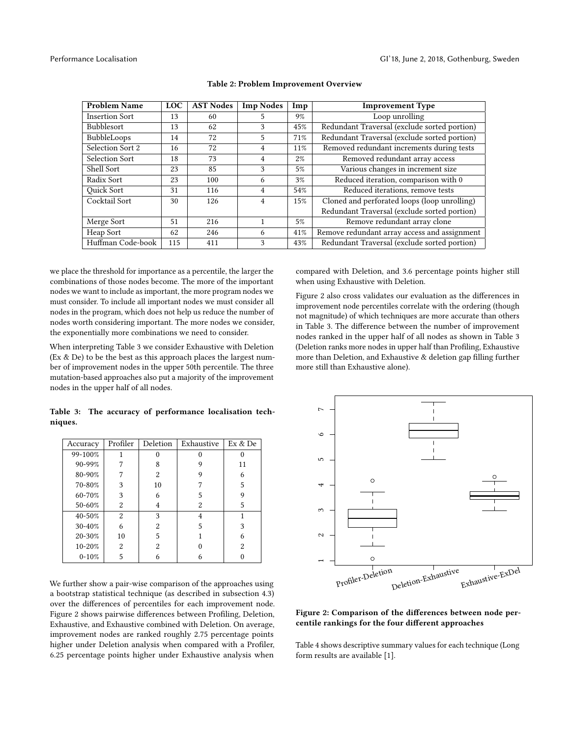<span id="page-4-2"></span>

| <b>Problem Name</b>   | <b>LOC</b> | <b>AST Nodes</b> | <b>Imp Nodes</b> | Imp   | <b>Improvement Type</b>                      |
|-----------------------|------------|------------------|------------------|-------|----------------------------------------------|
| <b>Insertion Sort</b> | 13         | 60               | 5                | 9%    | Loop unrolling                               |
| Bubblesort            | 13         | 62               | 3                | 45%   | Redundant Traversal (exclude sorted portion) |
| BubbleLoops           | 14         | 72               | 5                | 71%   | Redundant Traversal (exclude sorted portion) |
| Selection Sort 2      | 16         | 72               | 4                | 11%   | Removed redundant increments during tests    |
| Selection Sort        | 18         | 73               | 4                | $2\%$ | Removed redundant array access               |
| Shell Sort            | 23         | 85               | 3                | 5%    | Various changes in increment size            |
| Radix Sort            | 23         | 100              | 6                | 3%    | Reduced iteration, comparison with 0         |
| <b>Ouick Sort</b>     | 31         | 116              | 4                | 54%   | Reduced iterations, remove tests             |
| Cocktail Sort         | 30         | 126              | 4                | 15%   | Cloned and perforated loops (loop unrolling) |
|                       |            |                  |                  |       | Redundant Traversal (exclude sorted portion) |
| Merge Sort            | 51         | 216              |                  | 5%    | Remove redundant array clone                 |
| Heap Sort             | 62         | 246              | 6                | 41%   | Remove redundant array access and assignment |
| Huffman Code-book     | 115        | 411              | 3                | 43%   | Redundant Traversal (exclude sorted portion) |

#### Table 2: Problem Improvement Overview

we place the threshold for importance as a percentile, the larger the combinations of those nodes become. The more of the important nodes we want to include as important, the more program nodes we must consider. To include all important nodes we must consider all nodes in the program, which does not help us reduce the number of nodes worth considering important. The more nodes we consider, the exponentially more combinations we need to consider.

When interpreting [Table 3](#page-4-0) we consider Exhaustive with Deletion (Ex & De) to be the best as this approach places the largest number of improvement nodes in the upper 50th percentile. The three mutation-based approaches also put a majority of the improvement nodes in the upper half of all nodes.

compared with Deletion, and 3.6 percentage points higher still when using Exhaustive with Deletion.

[Figure 2](#page-4-1) also cross validates our evaluation as the differences in improvement node percentiles correlate with the ordering (though not magnitude) of which techniques are more accurate than others in [Table 3.](#page-4-0) The difference between the number of improvement nodes ranked in the upper half of all nodes as shown in [Table 3](#page-4-0) (Deletion ranks more nodes in upper half than Profiling, Exhaustive more than Deletion, and Exhaustive & deletion gap filling further more still than Exhaustive alone).

<span id="page-4-0"></span>

|         |  | Table 3: The accuracy of performance localisation tech- |  |
|---------|--|---------------------------------------------------------|--|
| niques. |  |                                                         |  |

| Accuracy  | Profiler | Deletion       | Exhaustive |    |
|-----------|----------|----------------|------------|----|
| 99-100%   |          | 0              |            |    |
| 90-99%    |          | 8              | 9          | 11 |
| 80-90%    |          | 2              | 9          | 6  |
| 70-80%    | 3        | 10             |            | 5  |
| 60-70%    | 3        | 6              | 5          | 9  |
| 50-60%    | 2        | 4              | 2          | 5  |
| 40-50%    | 2        | 3              | 4          |    |
| 30-40%    | 6        | $\overline{2}$ | 5          | 3  |
| 20-30%    | 10       | 5              |            | 6  |
| 10-20%    | 2        | $\overline{2}$ |            | 2  |
| $0 - 10%$ | 5        |                |            |    |

We further show a pair-wise comparison of the approaches using a bootstrap statistical technique (as described in [subsection 4.3\)](#page-3-1) over the differences of percentiles for each improvement node. [Figure 2](#page-4-1) shows pairwise differences between Profiling, Deletion, Exhaustive, and Exhaustive combined with Deletion. On average, improvement nodes are ranked roughly 2.75 percentage points higher under Deletion analysis when compared with a Profiler, 6.25 percentage points higher under Exhaustive analysis when

<span id="page-4-1"></span>

Figure 2: Comparison of the differences between node percentile rankings for the four different approaches

Table [4](#page-5-1) shows descriptive summary values for each technique (Long form results are available [\[1\]](#page-7-17).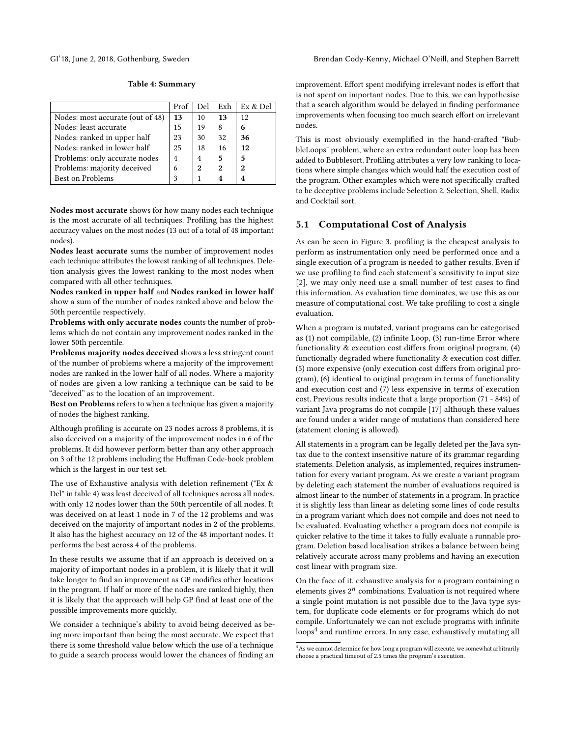<span id="page-5-1"></span>

Table 4: Summary

|                                  | Prof           | Del | Exh | Ex & Del |
|----------------------------------|----------------|-----|-----|----------|
| Nodes: most accurate (out of 48) | 13             | 10  | 13  | 12       |
| Nodes: least accurate            | 15             | 19  | 8   | 6        |
| Nodes: ranked in upper half      | 23             | 30  | 32  | 36       |
| Nodes: ranked in lower half      | 25             | 18  | 16  | 12       |
| Problems: only accurate nodes    | $\overline{4}$ | 4   | 5   | 5        |
| Problems: majority deceived      | 6              | 2   | 2   | 2        |
| Best on Problems                 |                |     | 4   |          |

Nodes most accurate shows for how many nodes each technique is the most accurate of all techniques. Profiling has the highest accuracy values on the most nodes (13 out of a total of 48 important nodes).

Nodes least accurate sums the number of improvement nodes each technique attributes the lowest ranking of all techniques. Deletion analysis gives the lowest ranking to the most nodes when compared with all other techniques.

Nodes ranked in upper half and Nodes ranked in lower half show a sum of the number of nodes ranked above and below the 50th percentile respectively.

Problems with only accurate nodes counts the number of problems which do not contain any improvement nodes ranked in the lower 50th percentile.

Problems majority nodes deceived shows a less stringent count of the number of problems where a majority of the improvement nodes are ranked in the lower half of all nodes. Where a majority of nodes are given a low ranking a technique can be said to be "deceived" as to the location of an improvement.

Best on Problems refers to when a technique has given a majority of nodes the highest ranking.

Although profiling is accurate on 23 nodes across 8 problems, it is also deceived on a majority of the improvement nodes in 6 of the problems. It did however perform better than any other approach on 3 of the 12 problems including the Huffman Code-book problem which is the largest in our test set.

The use of Exhaustive analysis with deletion refinement ("Ex & Del" in table [4\)](#page-5-1) was least deceived of all techniques across all nodes, with only 12 nodes lower than the 50th percentile of all nodes. It was deceived on at least 1 node in 7 of the 12 problems and was deceived on the majority of important nodes in 2 of the problems. It also has the highest accuracy on 12 of the 48 important nodes. It performs the best across 4 of the problems.

In these results we assume that if an approach is deceived on a majority of important nodes in a problem, it is likely that it will take longer to find an improvement as GP modifies other locations in the program. If half or more of the nodes are ranked highly, then it is likely that the approach will help GP find at least one of the possible improvements more quickly.

We consider a technique's ability to avoid being deceived as being more important than being the most accurate. We expect that there is some threshold value below which the use of a technique to guide a search process would lower the chances of finding an

GI'18, June 2, 2018, Gothenburg, Sweden Brendan Cody-Kenny, Michael O'Neill, and Stephen Barrett

improvement. Effort spent modifying irrelevant nodes is effort that is not spent on important nodes. Due to this, we can hypothesise that a search algorithm would be delayed in finding performance improvements when focusing too much search effort on irrelevant nodes.

This is most obviously exemplified in the hand-crafted "BubbleLoops" problem, where an extra redundant outer loop has been added to Bubblesort. Profiling attributes a very low ranking to locations where simple changes which would half the execution cost of the program. Other examples which were not specifically crafted to be deceptive problems include Selection 2, Selection, Shell, Radix and Cocktail sort.

## <span id="page-5-0"></span>5.1 Computational Cost of Analysis

As can be seen in Figure [3,](#page-6-0) profiling is the cheapest analysis to perform as instrumentation only need be performed once and a single execution of a program is needed to gather results. Even if we use profiling to find each statement's sensitivity to input size [\[2\]](#page-7-9), we may only need use a small number of test cases to find this information. As evaluation time dominates, we use this as our measure of computational cost. We take profiling to cost a single evaluation.

When a program is mutated, variant programs can be categorised as (1) not compilable, (2) infinite Loop, (3) run-time Error where functionality & execution cost differs from original program, (4) functionally degraded where functionality & execution cost differ. (5) more expensive (only execution cost differs from original program), (6) identical to original program in terms of functionality and execution cost and (7) less expensive in terms of execution cost. Previous results indicate that a large proportion (71 - 84%) of variant Java programs do not compile [\[17\]](#page-7-16) although these values are found under a wider range of mutations than considered here (statement cloning is allowed).

All statements in a program can be legally deleted per the Java syntax due to the context insensitive nature of its grammar regarding statements. Deletion analysis, as implemented, requires instrumentation for every variant program. As we create a variant program by deleting each statement the number of evaluations required is almost linear to the number of statements in a program. In practice it is slightly less than linear as deleting some lines of code results in a program variant which does not compile and does not need to be evaluated. Evaluating whether a program does not compile is quicker relative to the time it takes to fully evaluate a runnable program. Deletion based localisation strikes a balance between being relatively accurate across many problems and having an execution cost linear with program size.

On the face of it, exhaustive analysis for a program containing n elements gives  $2^n$  combinations. Evaluation is not required where a single point mutation is not possible due to the Java type system, for duplicate code elements or for programs which do not compile. Unfortunately we can not exclude programs with infinite  $\text{loops}^4$  $\text{loops}^4$  and runtime errors. In any case, exhaustively mutating all

 $^4\mathrm{As}$  we cannot determine for how long a program will execute, we somewhat arbitrarily choose a practical timeout of 2.5 times the program's execution.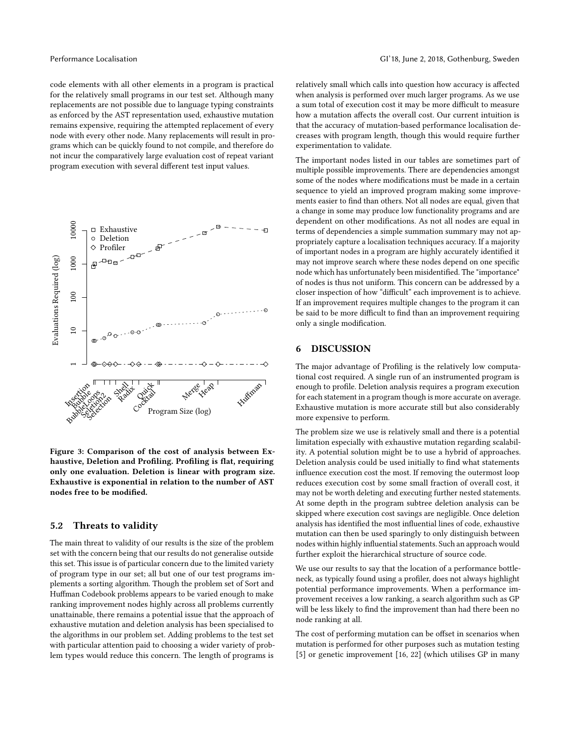code elements with all other elements in a program is practical for the relatively small programs in our test set. Although many replacements are not possible due to language typing constraints as enforced by the AST representation used, exhaustive mutation remains expensive, requiring the attempted replacement of every node with every other node. Many replacements will result in programs which can be quickly found to not compile, and therefore do not incur the comparatively large evaluation cost of repeat variant program execution with several different test input values.

<span id="page-6-0"></span>

Figure 3: Comparison of the cost of analysis between Exhaustive, Deletion and Profiling. Profiling is flat, requiring only one evaluation. Deletion is linear with program size. Exhaustive is exponential in relation to the number of AST nodes free to be modified.

#### 5.2 Threats to validity

The main threat to validity of our results is the size of the problem set with the concern being that our results do not generalise outside this set. This issue is of particular concern due to the limited variety of program type in our set; all but one of our test programs implements a sorting algorithm. Though the problem set of Sort and Huffman Codebook problems appears to be varied enough to make ranking improvement nodes highly across all problems currently unattainable, there remains a potential issue that the approach of exhaustive mutation and deletion analysis has been specialised to the algorithms in our problem set. Adding problems to the test set with particular attention paid to choosing a wider variety of problem types would reduce this concern. The length of programs is

relatively small which calls into question how accuracy is affected when analysis is performed over much larger programs. As we use a sum total of execution cost it may be more difficult to measure how a mutation affects the overall cost. Our current intuition is that the accuracy of mutation-based performance localisation decreases with program length, though this would require further experimentation to validate.

The important nodes listed in our tables are sometimes part of multiple possible improvements. There are dependencies amongst some of the nodes where modifications must be made in a certain sequence to yield an improved program making some improvements easier to find than others. Not all nodes are equal, given that a change in some may produce low functionality programs and are dependent on other modifications. As not all nodes are equal in terms of dependencies a simple summation summary may not appropriately capture a localisation techniques accuracy. If a majority of important nodes in a program are highly accurately identified it may not improve search where these nodes depend on one specific node which has unfortunately been misidentified. The "importance" of nodes is thus not uniform. This concern can be addressed by a closer inspection of how "difficult" each improvement is to achieve. If an improvement requires multiple changes to the program it can be said to be more difficult to find than an improvement requiring only a single modification.

### 6 DISCUSSION

The major advantage of Profiling is the relatively low computational cost required. A single run of an instrumented program is enough to profile. Deletion analysis requires a program execution for each statement in a program though is more accurate on average. Exhaustive mutation is more accurate still but also considerably more expensive to perform.

The problem size we use is relatively small and there is a potential limitation especially with exhaustive mutation regarding scalability. A potential solution might be to use a hybrid of approaches. Deletion analysis could be used initially to find what statements influence execution cost the most. If removing the outermost loop reduces execution cost by some small fraction of overall cost, it may not be worth deleting and executing further nested statements. At some depth in the program subtree deletion analysis can be skipped where execution cost savings are negligible. Once deletion analysis has identified the most influential lines of code, exhaustive mutation can then be used sparingly to only distinguish between nodes within highly influential statements. Such an approach would further exploit the hierarchical structure of source code.

We use our results to say that the location of a performance bottleneck, as typically found using a profiler, does not always highlight potential performance improvements. When a performance improvement receives a low ranking, a search algorithm such as GP will be less likely to find the improvement than had there been no node ranking at all.

The cost of performing mutation can be offset in scenarios when mutation is performed for other purposes such as mutation testing [\[5\]](#page-7-18) or genetic improvement [\[16,](#page-7-19) [22\]](#page-7-8) (which utilises GP in many